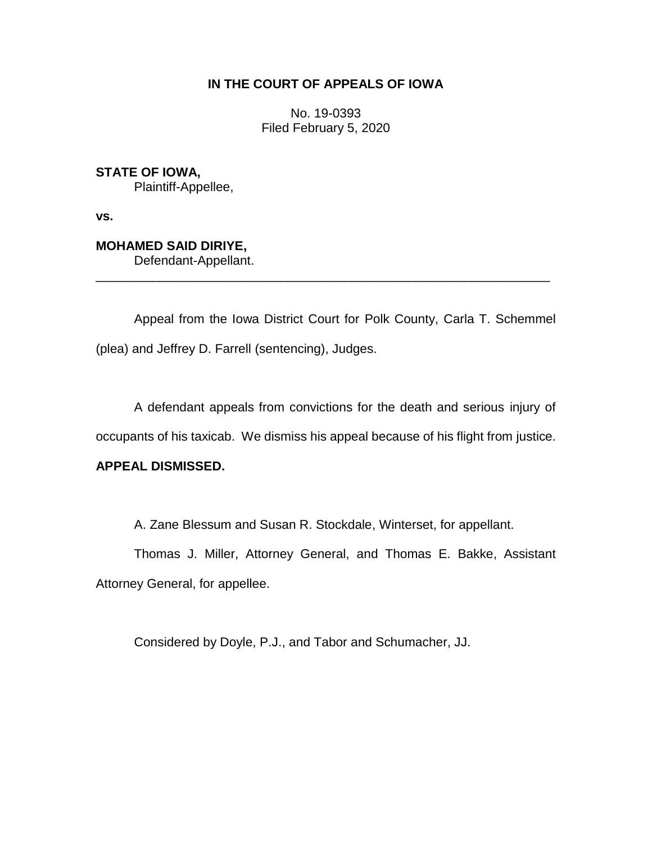### **IN THE COURT OF APPEALS OF IOWA**

No. 19-0393 Filed February 5, 2020

**STATE OF IOWA,** Plaintiff-Appellee,

**vs.**

# **MOHAMED SAID DIRIYE,**

Defendant-Appellant.

Appeal from the Iowa District Court for Polk County, Carla T. Schemmel (plea) and Jeffrey D. Farrell (sentencing), Judges.

\_\_\_\_\_\_\_\_\_\_\_\_\_\_\_\_\_\_\_\_\_\_\_\_\_\_\_\_\_\_\_\_\_\_\_\_\_\_\_\_\_\_\_\_\_\_\_\_\_\_\_\_\_\_\_\_\_\_\_\_\_\_\_\_

A defendant appeals from convictions for the death and serious injury of

occupants of his taxicab. We dismiss his appeal because of his flight from justice.

## **APPEAL DISMISSED.**

A. Zane Blessum and Susan R. Stockdale, Winterset, for appellant.

Thomas J. Miller, Attorney General, and Thomas E. Bakke, Assistant Attorney General, for appellee.

Considered by Doyle, P.J., and Tabor and Schumacher, JJ.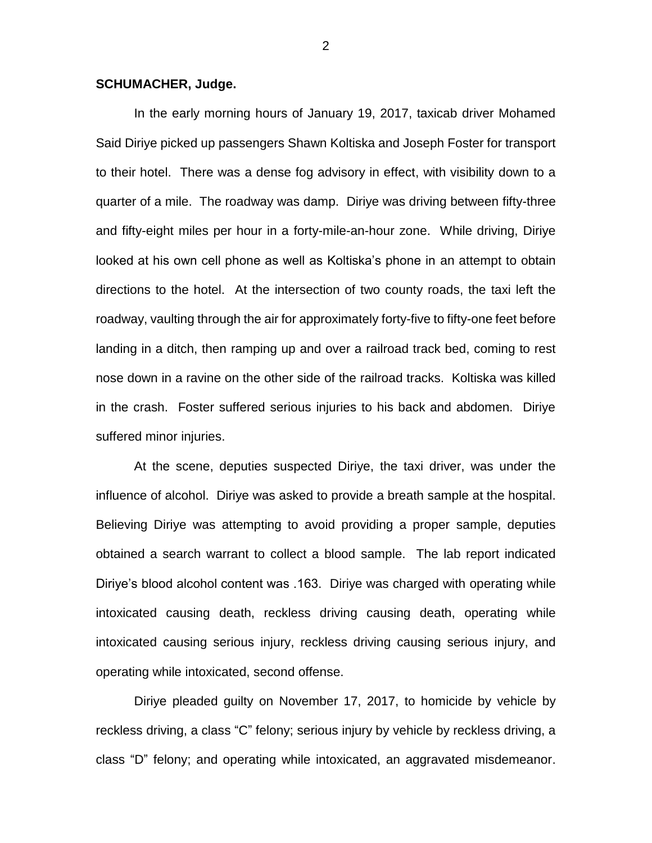### **SCHUMACHER, Judge.**

In the early morning hours of January 19, 2017, taxicab driver Mohamed Said Diriye picked up passengers Shawn Koltiska and Joseph Foster for transport to their hotel. There was a dense fog advisory in effect, with visibility down to a quarter of a mile. The roadway was damp. Diriye was driving between fifty-three and fifty-eight miles per hour in a forty-mile-an-hour zone. While driving, Diriye looked at his own cell phone as well as Koltiska's phone in an attempt to obtain directions to the hotel. At the intersection of two county roads, the taxi left the roadway, vaulting through the air for approximately forty-five to fifty-one feet before landing in a ditch, then ramping up and over a railroad track bed, coming to rest nose down in a ravine on the other side of the railroad tracks. Koltiska was killed in the crash. Foster suffered serious injuries to his back and abdomen. Diriye suffered minor injuries.

At the scene, deputies suspected Diriye, the taxi driver, was under the influence of alcohol. Diriye was asked to provide a breath sample at the hospital. Believing Diriye was attempting to avoid providing a proper sample, deputies obtained a search warrant to collect a blood sample. The lab report indicated Diriye's blood alcohol content was .163. Diriye was charged with operating while intoxicated causing death, reckless driving causing death, operating while intoxicated causing serious injury, reckless driving causing serious injury, and operating while intoxicated, second offense.

Diriye pleaded guilty on November 17, 2017, to homicide by vehicle by reckless driving, a class "C" felony; serious injury by vehicle by reckless driving, a class "D" felony; and operating while intoxicated, an aggravated misdemeanor.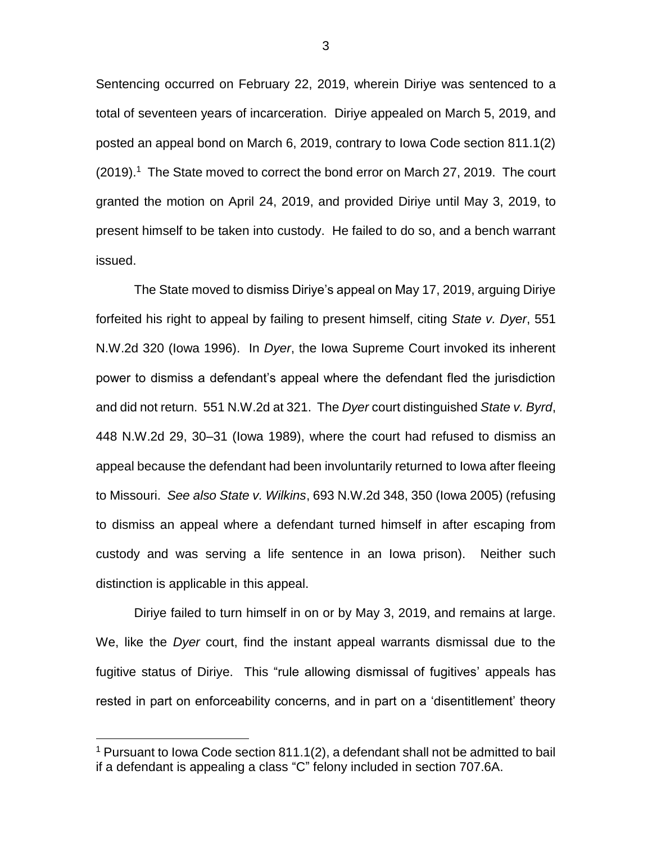Sentencing occurred on February 22, 2019, wherein Diriye was sentenced to a total of seventeen years of incarceration. Diriye appealed on March 5, 2019, and posted an appeal bond on March 6, 2019, contrary to Iowa Code section 811.1(2) (2019). <sup>1</sup> The State moved to correct the bond error on March 27, 2019. The court granted the motion on April 24, 2019, and provided Diriye until May 3, 2019, to present himself to be taken into custody. He failed to do so, and a bench warrant issued.

The State moved to dismiss Diriye's appeal on May 17, 2019, arguing Diriye forfeited his right to appeal by failing to present himself, citing *State v. Dyer*, 551 N.W.2d 320 (Iowa 1996). In *Dyer*, the Iowa Supreme Court invoked its inherent power to dismiss a defendant's appeal where the defendant fled the jurisdiction and did not return. 551 N.W.2d at 321. The *Dyer* court distinguished *State v. Byrd*, 448 N.W.2d 29, 30–31 (Iowa 1989), where the court had refused to dismiss an appeal because the defendant had been involuntarily returned to Iowa after fleeing to Missouri. *See also State v. Wilkins*, 693 N.W.2d 348, 350 (Iowa 2005) (refusing to dismiss an appeal where a defendant turned himself in after escaping from custody and was serving a life sentence in an Iowa prison). Neither such distinction is applicable in this appeal.

Diriye failed to turn himself in on or by May 3, 2019, and remains at large. We, like the *Dyer* court, find the instant appeal warrants dismissal due to the fugitive status of Diriye. This "rule allowing dismissal of fugitives' appeals has rested in part on enforceability concerns, and in part on a 'disentitlement' theory

 $\overline{a}$ 

3

<sup>&</sup>lt;sup>1</sup> Pursuant to Iowa Code section  $811.1(2)$ , a defendant shall not be admitted to bail if a defendant is appealing a class "C" felony included in section 707.6A.